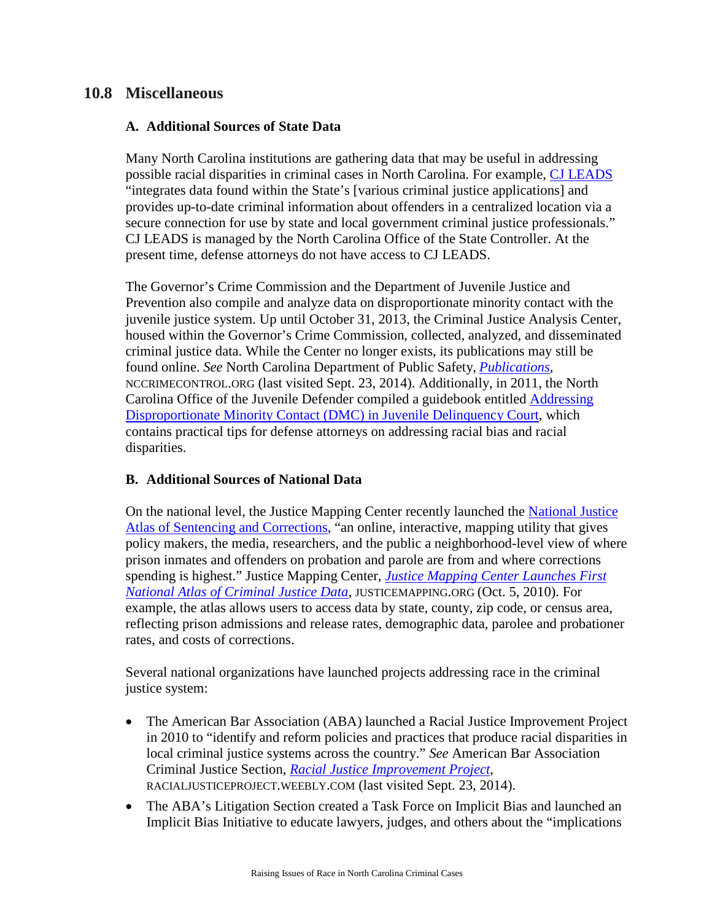## **10.8 Miscellaneous**

## **A. Additional Sources of State Data**

Many North Carolina institutions are gathering data that may be useful in addressing possible racial disparities in criminal cases in North Carolina. For example, [CJ LEADS](https://cjleads.nc.gov/) "integrates data found within the State's [various criminal justice applications] and provides up-to-date criminal information about offenders in a centralized location via a secure connection for use by state and local government criminal justice professionals." CJ LEADS is managed by the North Carolina Office of the State Controller. At the present time, defense attorneys do not have access to CJ LEADS.

The Governor's Crime Commission and the Department of Juvenile Justice and Prevention also compile and analyze data on disproportionate minority contact with the juvenile justice system. Up until October 31, 2013, the Criminal Justice Analysis Center, housed within the Governor's Crime Commission, collected, analyzed, and disseminated criminal justice data. While the Center no longer exists, its publications may still be found online. *See* North Carolina Department of Public Safety, *[Publications](https://www.nccrimecontrol.org/Index2.cfm?a=000003,000011,000644)*, NCCRIMECONTROL.ORG (last visited Sept. 23, 2014). Additionally, in 2011, the North Carolina Office of the Juvenile Defender compiled a guidebook entitled [Addressing](http://www.ncids.org/JuvenileDefender/Guides/AddressingMinorityContact.pdf)  [Disproportionate Minority Contact \(DMC\) in Juvenile Delinquency Court,](http://www.ncids.org/JuvenileDefender/Guides/AddressingMinorityContact.pdf) which contains practical tips for defense attorneys on addressing racial bias and racial disparities.

## **B. Additional Sources of National Data**

On the national level, the Justice Mapping Center recently launched the [National Justice](http://www.justiceatlas.org/)  [Atlas of Sentencing and Corrections,](http://www.justiceatlas.org/) "an online, interactive, mapping utility that gives policy makers, the media, researchers, and the public a neighborhood-level view of where prison inmates and offenders on probation and parole are from and where corrections spending is highest." Justice Mapping Center, *[Justice Mapping Center Launches First](http://www.justicemapping.org/archive/category/news/)  [National Atlas of Criminal Justice Data](http://www.justicemapping.org/archive/category/news/)*, JUSTICEMAPPING.ORG (Oct. 5, 2010). For example, the atlas allows users to access data by state, county, zip code, or census area, reflecting prison admissions and release rates, demographic data, parolee and probationer rates, and costs of corrections.

Several national organizations have launched projects addressing race in the criminal justice system:

- The American Bar Association (ABA) launched a Racial Justice Improvement Project in 2010 to "identify and reform policies and practices that produce racial disparities in local criminal justice systems across the country." *See* American Bar Association Criminal Justice Section, *[Racial Justice Improvement Project](http://racialjusticeproject.weebly.com/)*, RACIALJUSTICEPROJECT.WEEBLY.COM (last visited Sept. 23, 2014).
- The ABA's Litigation Section created a Task Force on Implicit Bias and launched an Implicit Bias Initiative to educate lawyers, judges, and others about the "implications